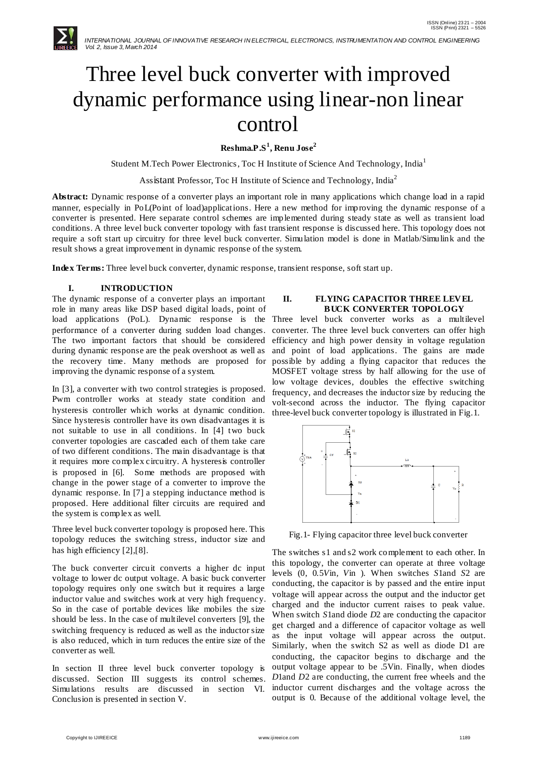

# Three level buck converter with improved dynamic performance using linear-non linear control

# **Reshma.P.S<sup>1</sup> , Renu Jose<sup>2</sup>**

Student M.Tech Power Electronics, Toc H Institute of Science And Technology, India<sup>1</sup>

Assistant Professor, Toc H Institute of Science and Technology, India<sup>2</sup>

**Abstract:** Dynamic response of a converter plays an important role in many applications which change load in a rapid manner, especially in PoL(Point of load)applications. Here a new method for improving the dynamic response of a converter is presented. Here separate control schemes are implemented during steady state as well as transient load conditions. A three level buck converter topology with fast transient response is discussed here. This topology does not require a soft start up circuitry for three level buck converter. Simulation model is done in Matlab/Simulink and the result shows a great improvement in dynamic response of the system.

**Index Terms:** Three level buck converter, dynamic response, transient response, soft start up.

# **I. INTRODUCTION**

The dynamic response of a converter plays an important role in many areas like DSP based digital loads, point of load applications (PoL). Dynamic response is the Three level buck converter works as a multilevel performance of a converter during sudden load changes. The two important factors that should be considered during dynamic response are the peak overshoot as well as the recovery time. Many methods are proposed for improving the dynamic response of a system.

In [3], a converter with two control strategies is proposed. Pwm controller works at steady state condition and hysteresis controller which works at dynamic condition. Since hysteresis controller have its own disadvantages it is not suitable to use in all conditions. In [4] two buck converter topologies are cascaded each of them take care of two different conditions. The main disadvantage is that it requires more complex circuitry. A hysteresis controller is proposed in [6]. Some methods are proposed with change in the power stage of a converter to improve the dynamic response. In [7] a stepping inductance method is proposed. Here additional filter circuits are required and the system is complex as well.

Three level buck converter topology is proposed here. This topology reduces the switching stress, inductor size and has high efficiency [2],[8].

The buck converter circuit converts a higher dc input voltage to lower dc output voltage. A basic buck converter topology requires only one switch but it requires a large inductor value and switches work at very high frequency. So in the case of portable devices like mobiles the size should be less. In the case of multilevel converters [9], the switching frequency is reduced as well as the inductor size is also reduced, which in turn reduces the entire size of the converter as well.

In section II three level buck converter topology is discussed. Section III suggests its control schemes. Simulations results are discussed in section VI. Conclusion is presented in section V.

## **II. FLYING CAPACITOR THREE LEVEL BUCK CONVERTER TOPOLOGY**

converter. The three level buck converters can offer high efficiency and high power density in voltage regulation and point of load applications. The gains are made possible by adding a flying capacitor that reduces the MOSFET voltage stress by half allowing for the use of low voltage devices, doubles the effective switching frequency, and decreases the inductor size by reducing the volt-second across the inductor. The flying capacitor three-level buck converter topology is illustrated in Fig.1.



Fig.1- Flying capacitor three level buck converter

The switches s1 and s2 work complement to each other. In this topology, the converter can operate at three voltage levels (0, 0.5*V*in*, V*in ). When switches *S*1and *S*2 are conducting, the capacitor is by passed and the entire input voltage will appear across the output and the inductor get charged and the inductor current raises to peak value. When switch *S*1and diode *D*2 are conducting the capacitor get charged and a difference of capacitor voltage as well as the input voltage will appear across the output. Similarly, when the switch S2 as well as diode D1 are conducting, the capacitor begins to discharge and the output voltage appear to be .5Vin. Finally, when diodes *D*1and *D*2 are conducting, the current free wheels and the inductor current discharges and the voltage across the output is 0. Because of the additional voltage level, the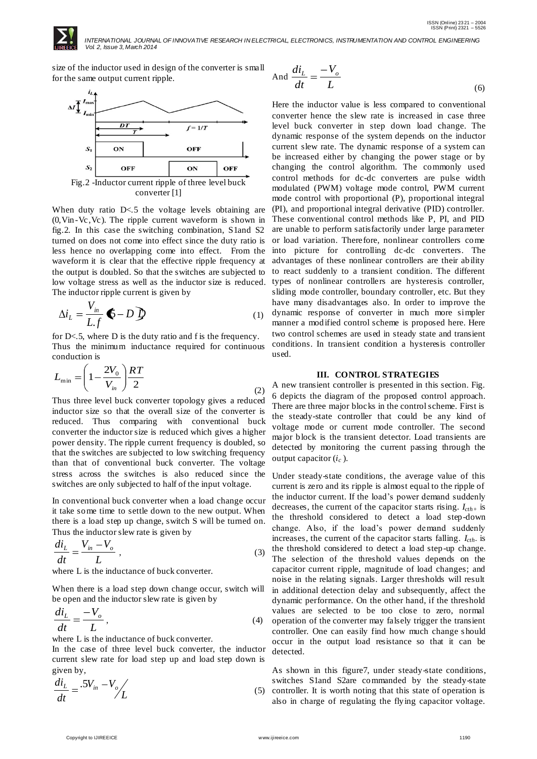

 *INTERNATIONAL JOURNAL OF INNOVATIVE RESEARCH IN ELECTRICAL, ELECTRONICS, INSTRUMENTATION AND CONTROL ENGINEERING Vol. 2, Issue 3, March 2014*

 $\overline{\mathcal{L}}$ 

size of the inductor used in design of the converter is small for the same output current ripple.



converter [1]

When duty ratio  $D \le 5$  the voltage levels obtaining are (0,Vin-Vc,Vc). The ripple current waveform is shown in fig.2. In this case the switching combination, S1and S2 turned on does not come into effect since the duty ratio is less hence no overlapping come into effect. From the waveform it is clear that the effective ripple frequency at the output is doubled. So that the switches are subjected to low voltage stress as well as the inductor size is reduced. The inductor ripple current is given by

$$
\Delta i_{L} = \frac{V_{in}}{L.f} \bullet - D \bullet \tag{1}
$$

for D<.5, where D is the duty ratio and f is the frequency. Thus the minimum inductance required for continuous conduction is

$$
L_{\min} = \left(1 - \frac{2V_0}{V_{in}}\right) \frac{RT}{2}
$$
\n<sup>(2)</sup>

Thus three level buck converter topology gives a reduced inductor size so that the overall size of the converter is reduced. Thus comparing with conventional buck converter the inductor size is reduced which gives a higher power density. The ripple current frequency is doubled, so that the switches are subjected to low switching frequency than that of conventional buck converter. The voltage stress across the switches is also reduced since the switches are only subjected to half of the input voltage.

In conventional buck converter when a load change occur it take some time to settle down to the new output. When there is a load step up change, switch S will be turned on. Thus the inductor slew rate is given by

$$
\frac{di_L}{dt} = \frac{V_{in} - V_o}{L} \tag{3}
$$

where L is the inductance of buck converter.

When there is a load step down change occur, switch will be open and the inductor slew rate is given by

$$
\frac{di_L}{dt} = \frac{-V_o}{L},\tag{4}
$$

where L is the inductance of buck converter.

In the case of three level buck converter, the inductor current slew rate for load step up and load step down is given by,

$$
\frac{di_L}{dt} = \frac{.5V_{in} - V_o}{L}
$$
\n(5)

$$
\text{and } \frac{di_L}{dt} = \frac{-V_o}{L} \tag{6}
$$

Here the inductor value is less compared to conventional converter hence the slew rate is increased in case three level buck converter in step down load change. The dynamic response of the system depends on the inductor current slew rate. The dynamic response of a system can be increased either by changing the power stage or by changing the control algorithm. The commonly used control methods for dc-dc converters are pulse width modulated (PWM) voltage mode control, PWM current mode control with proportional (P), proportional integral (PI), and proportional integral derivative (PID) controller. These conventional control methods like P, PI, and PID are unable to perform satisfactorily under large parameter or load variation. Therefore, nonlinear controllers come into picture for controlling dc-dc converters. The advantages of these nonlinear controllers are their ability to react suddenly to a transient condition. The different types of nonlinear controllers are hysteresis controller, sliding mode controller, boundary controller, etc. But they have many disadvantages also. In order to improve the dynamic response of converter in much more simpler manner a modified control scheme is proposed here. Here two control schemes are used in steady state and transient conditions. In transient condition a hysteresis controller used.

# **III. CONTROL STRATEGIES**

A new transient controller is presented in this section. Fig. 6 depicts the diagram of the proposed control approach. There are three major blocks in the control scheme. First is the steady-state controller that could be any kind of voltage mode or current mode controller. The second major block is the transient detector. Load transients are detected by monitoring the current passing through the output capacitor (*i<sup>c</sup>* ).

Under steady-state conditions, the average value of this current is zero and its ripple is almost equal to the ripple of the inductor current. If the load's power demand suddenly decreases, the current of the capacitor starts rising. *Icth+* is the threshold considered to detect a load step-down change. Also, if the load's power demand suddenly increases, the current of the capacitor starts falling. *Icth-*is the threshold considered to detect a load step-up change. The selection of the threshold values depends on the capacitor current ripple, magnitude of load changes; and noise in the relating signals. Larger thresholds will result in additional detection delay and subsequently, affect the dynamic performance. On the other hand, if the threshold values are selected to be too close to zero, normal operation of the converter may falsely trigger the transient controller. One can easily find how much change s hould occur in the output load resistance so that it can be detected.

As shown in this figure7, under steady-state conditions, switches S1and S2are commanded by the steady-state controller. It is worth noting that this state of operation is also in charge of regulating the flying capacitor voltage.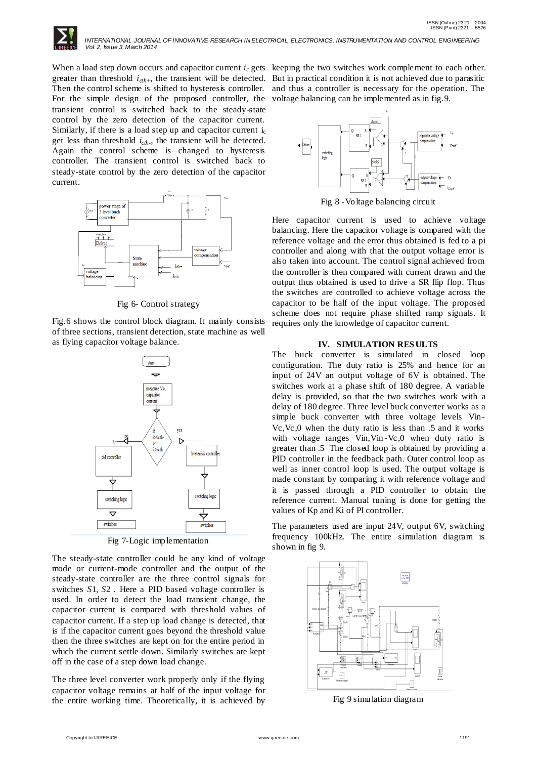

 *INTERNATIONAL JOURNAL OF INNOVATIVE RESEARCH IN ELECTRICAL, ELECTRONICS, INSTRUMENTATION AND CONTROL ENGINEERING Vol. 2, Issue 3, March 2014*

When a load step down occurs and capacitor current *i<sup>c</sup>* gets keeping the two switches work complement to each other. greater than threshold  $i_{\alpha h+}$ , the transient will be detected. Then the control scheme is shifted to hysteresis controller. For the simple design of the proposed controller, the transient control is switched back to the steady-state control by the zero detection of the capacitor current. Similarly, if there is a load step up and capacitor current  $i_c$ get less than threshold *icth-* , the transient will be detected. Again the control scheme is changed to hysteresis controller. The transient control is switched back to steady-state control by the zero detection of the capacitor current.



Fig 6- Control strategy

Fig.6 shows the control block diagram. It mainly consists of three sections, transient detection, state machine as well as flying capacitor voltage balance.



Fig 7-Logic implementation

The steady-state controller could be any kind of voltage mode or current-mode controller and the output of the steady-state controller are the three control signals for switches *S*1*, S*2 *.* Here a PID based voltage controller is used. In order to detect the load transient change, the capacitor current is compared with threshold values of capacitor current. If a step up load change is detected, that is if the capacitor current goes beyond the threshold value then the three switches are kept on for the entire period in which the current settle down. Similarly switches are kept off in the case of a step down load change.

The three level converter work properly only if the flying capacitor voltage remains at half of the input voltage for the entire working time. Theoretically, it is achieved by

But in practical condition it is not achieved due to parasitic and thus a controller is necessary for the operation. The voltage balancing can be implemented as in fig.9.



Fig 8 -Voltage balancing circuit

Here capacitor current is used to achieve voltage balancing. Here the capacitor voltage is compared with the reference voltage and the error thus obtained is fed to a pi controller and along with that the output voltage error is also taken into account. The control signal achieved from the controller is then compared with current drawn and the output thus obtained is used to drive a SR flip flop. Thus the switches are controlled to achieve voltage across the capacitor to be half of the input voltage. The proposed scheme does not require phase shifted ramp signals. It requires only the knowledge of capacitor current.

### **IV. SIMULATION RES ULTS**

The buck converter is simulated in closed loop configuration. The duty ratio is 25% and hence for an input of 24V an output voltage of 6V is obtained. The switches work at a phase shift of 180 degree. A variable delay is provided, so that the two switches work with a delay of 180 degree. Three level buck converter works as a simple buck converter with three voltage levels Vin-Vc,Vc,0 when the duty ratio is less than .5 and it works with voltage ranges Vin,Vin -Vc,0 when duty ratio is greater than .5 The closed loop is obtained by providing a PID controller in the feedback path. Outer control loop as well as inner control loop is used. The output voltage is made constant by comparing it with reference voltage and it is passed through a PID controller to obtain the reference current. Manual tuning is done for getting the values of Kp and Ki of PI controller.

The parameters used are input 24V, output 6V, switching frequency 100kHz. The entire simulation diagram is shown in fig 9.



Fig 9 simulation diagram